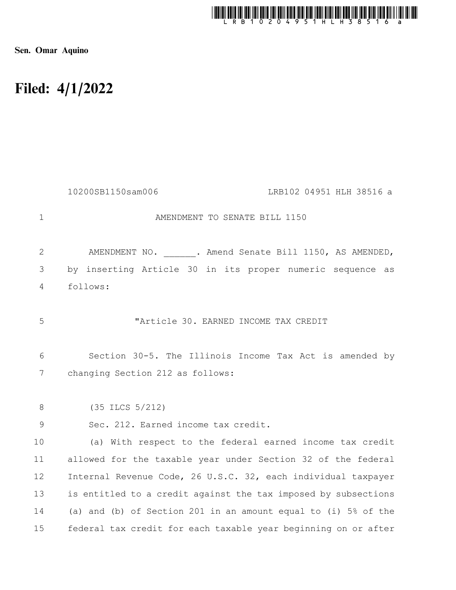

Sen. Omar Aquino

## Filed: 4/1/2022

|                | 10200SB1150sam006<br>LRB102 04951 HLH 38516 a                  |
|----------------|----------------------------------------------------------------|
| $\mathbf{1}$   | AMENDMENT TO SENATE BILL 1150                                  |
| 2              | AMENDMENT NO. . Amend Senate Bill 1150, AS AMENDED,            |
| 3              | by inserting Article 30 in its proper numeric sequence as      |
| $\overline{4}$ | follows:                                                       |
| 5              | "Article 30. EARNED INCOME TAX CREDIT                          |
| 6              | Section 30-5. The Illinois Income Tax Act is amended by        |
| 7              | changing Section 212 as follows:                               |
| 8              | $(35$ ILCS $5/212)$                                            |
| 9              | Sec. 212. Earned income tax credit.                            |
| 10             | (a) With respect to the federal earned income tax credit       |
| 11             | allowed for the taxable year under Section 32 of the federal   |
| 12             | Internal Revenue Code, 26 U.S.C. 32, each individual taxpayer  |
| 13             | is entitled to a credit against the tax imposed by subsections |
| 14             | (a) and (b) of Section 201 in an amount equal to (i) 5% of the |
| 15             | federal tax credit for each taxable year beginning on or after |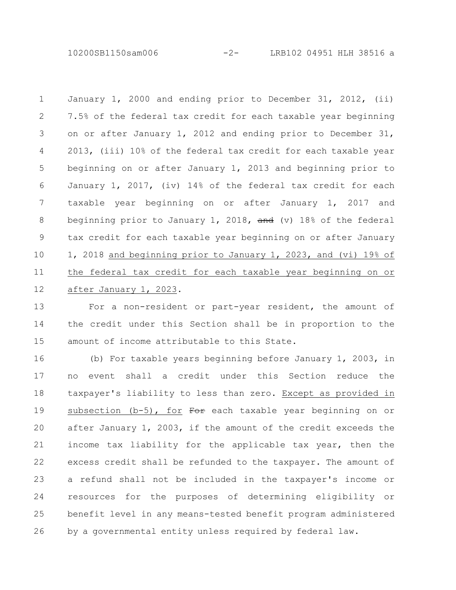10200SB1150sam006 -2- LRB102 04951 HLH 38516 a

January 1, 2000 and ending prior to December 31, 2012, (ii) 7.5% of the federal tax credit for each taxable year beginning on or after January 1, 2012 and ending prior to December 31, 2013, (iii) 10% of the federal tax credit for each taxable year beginning on or after January 1, 2013 and beginning prior to January 1, 2017, (iv) 14% of the federal tax credit for each taxable year beginning on or after January 1, 2017 and beginning prior to January 1, 2018,  $\frac{1}{\pi}$  (v) 18% of the federal tax credit for each taxable year beginning on or after January 1, 2018 and beginning prior to January 1, 2023, and (vi) 19% of the federal tax credit for each taxable year beginning on or after January 1, 2023. 1 2 3 4 5 6 7 8 9 10 11 12

For a non-resident or part-year resident, the amount of the credit under this Section shall be in proportion to the amount of income attributable to this State. 13 14 15

(b) For taxable years beginning before January 1, 2003, in no event shall a credit under this Section reduce the taxpayer's liability to less than zero. Except as provided in subsection  $(b-5)$ , for  $F^{\Theta}F$  each taxable year beginning on or after January 1, 2003, if the amount of the credit exceeds the income tax liability for the applicable tax year, then the excess credit shall be refunded to the taxpayer. The amount of a refund shall not be included in the taxpayer's income or resources for the purposes of determining eligibility or benefit level in any means-tested benefit program administered by a governmental entity unless required by federal law. 16 17 18 19 20 21 22 23 24 25 26